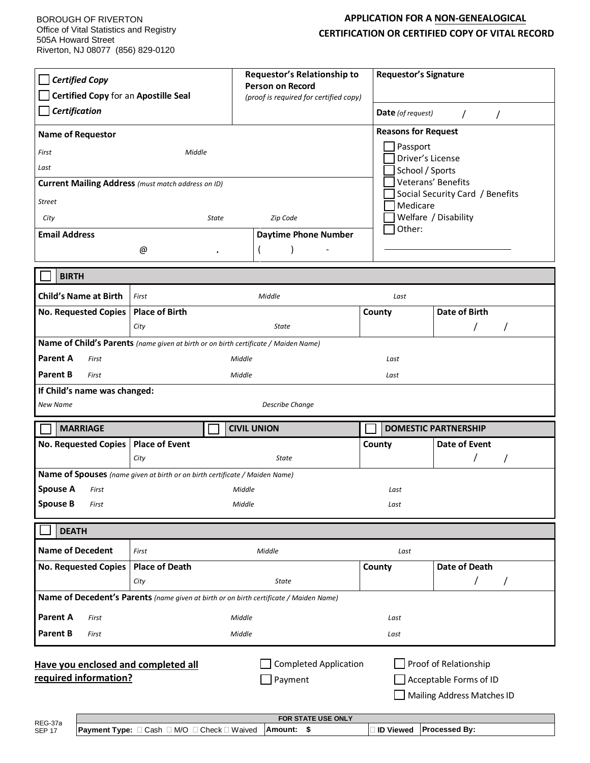BOROUGH OF RIVERTON Office of Vital Statistics and Registry 505A Howard Street Riverton, NJ 08077 (856) 829-0120

## **APPLICATION FOR A NON-GENEALOGICAL CERTIFICATION OR CERTIFIED COPY OF VITAL RECORD**

| <b>Certified Copy</b><br>Certified Copy for an Apostille Seal<br>Certification<br><b>Name of Requestor</b><br>First<br>Middle<br>Last<br>Current Mailing Address (must match address on ID)<br><b>Street</b>                                   |                                             | <b>Requestor's Relationship to</b><br><b>Person on Record</b><br>(proof is required for certified copy) |                                | <b>Requestor's Signature</b><br>Date (of request)<br>$\prime$<br>$\prime$<br><b>Reasons for Request</b><br>Passport<br>Driver's License<br>School / Sports<br>Veterans' Benefits<br>Social Security Card / Benefits<br>Medicare |  |
|------------------------------------------------------------------------------------------------------------------------------------------------------------------------------------------------------------------------------------------------|---------------------------------------------|---------------------------------------------------------------------------------------------------------|--------------------------------|---------------------------------------------------------------------------------------------------------------------------------------------------------------------------------------------------------------------------------|--|
| City<br><b>State</b>                                                                                                                                                                                                                           |                                             | Zip Code                                                                                                | Welfare / Disability<br>Other: |                                                                                                                                                                                                                                 |  |
| <b>Email Address</b>                                                                                                                                                                                                                           |                                             | <b>Daytime Phone Number</b>                                                                             |                                |                                                                                                                                                                                                                                 |  |
| @                                                                                                                                                                                                                                              | $\bullet$                                   |                                                                                                         |                                |                                                                                                                                                                                                                                 |  |
| <b>BIRTH</b>                                                                                                                                                                                                                                   |                                             |                                                                                                         |                                |                                                                                                                                                                                                                                 |  |
| <b>Child's Name at Birth</b><br>First                                                                                                                                                                                                          |                                             | Middle                                                                                                  | Last                           |                                                                                                                                                                                                                                 |  |
| <b>No. Requested Copies</b>                                                                                                                                                                                                                    | <b>Place of Birth</b>                       |                                                                                                         | County                         | Date of Birth                                                                                                                                                                                                                   |  |
| City                                                                                                                                                                                                                                           |                                             | State                                                                                                   |                                |                                                                                                                                                                                                                                 |  |
| Name of Child's Parents (name given at birth or on birth certificate / Maiden Name)<br>Parent A<br>First<br>Middle<br>Last<br><b>Parent B</b><br>Middle<br>First<br>Last<br>If Child's name was changed:<br><b>Describe Change</b><br>New Name |                                             |                                                                                                         |                                |                                                                                                                                                                                                                                 |  |
| <b>MARRIAGE</b><br><b>CIVIL UNION</b><br><b>DOMESTIC PARTNERSHIP</b>                                                                                                                                                                           |                                             |                                                                                                         |                                |                                                                                                                                                                                                                                 |  |
| No. Requested Copies   Place of Event                                                                                                                                                                                                          |                                             |                                                                                                         | County                         | Date of Event                                                                                                                                                                                                                   |  |
| City                                                                                                                                                                                                                                           |                                             | <b>State</b>                                                                                            |                                |                                                                                                                                                                                                                                 |  |
| Name of Spouses (name given at birth or on birth certificate / Maiden Name)                                                                                                                                                                    |                                             |                                                                                                         |                                |                                                                                                                                                                                                                                 |  |
| <b>Spouse A</b><br>First                                                                                                                                                                                                                       |                                             | Middle                                                                                                  | Last                           |                                                                                                                                                                                                                                 |  |
| <b>Spouse B</b><br>First                                                                                                                                                                                                                       | Middle                                      |                                                                                                         | Last                           |                                                                                                                                                                                                                                 |  |
| <b>DEATH</b>                                                                                                                                                                                                                                   |                                             |                                                                                                         |                                |                                                                                                                                                                                                                                 |  |
| <b>Name of Decedent</b><br>First                                                                                                                                                                                                               |                                             | Middle                                                                                                  | Last                           |                                                                                                                                                                                                                                 |  |
| <b>No. Requested Copies</b>                                                                                                                                                                                                                    | <b>Place of Death</b>                       |                                                                                                         | County                         | <b>Date of Death</b>                                                                                                                                                                                                            |  |
| City                                                                                                                                                                                                                                           |                                             | State                                                                                                   |                                | $\prime$<br>$\prime$                                                                                                                                                                                                            |  |
| Name of Decedent's Parents (name given at birth or on birth certificate / Maiden Name)                                                                                                                                                         |                                             |                                                                                                         |                                |                                                                                                                                                                                                                                 |  |
| <b>Parent A</b><br>First                                                                                                                                                                                                                       |                                             | Middle                                                                                                  | Last                           |                                                                                                                                                                                                                                 |  |
| <b>Parent B</b><br>First                                                                                                                                                                                                                       |                                             | Middle                                                                                                  | Last                           |                                                                                                                                                                                                                                 |  |
| <b>Completed Application</b><br>Proof of Relationship<br>Have you enclosed and completed all<br>required information?<br>Payment<br>Acceptable Forms of ID<br>Mailing Address Matches ID                                                       |                                             |                                                                                                         |                                |                                                                                                                                                                                                                                 |  |
| REG-37a<br><b>SEP 17</b>                                                                                                                                                                                                                       | Payment Type: □ Cash □ M/O □ Check □ Waived | FOR STATE USE ONLY<br>Amount:<br>-\$                                                                    | <b>O</b> Viewed                | Processed By:                                                                                                                                                                                                                   |  |